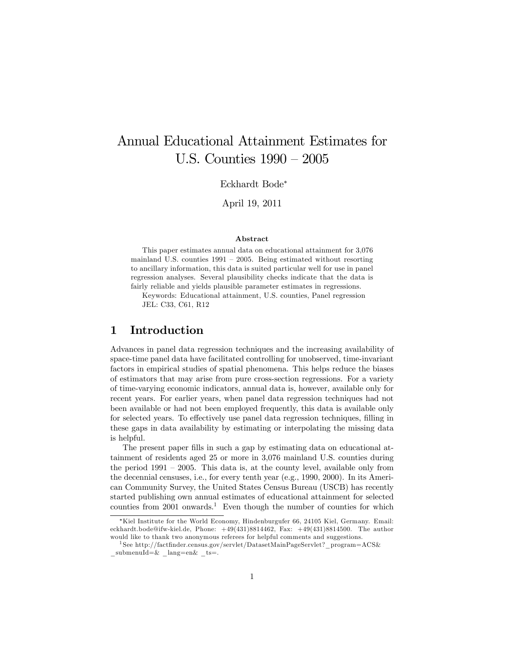# Annual Educational Attainment Estimates for U.S. Counties  $1990 - 2005$

Eckhardt Bode

April 19, 2011

#### Abstract

This paper estimates annual data on educational attainment for 3,076 mainland U.S. counties  $1991 - 2005$ . Being estimated without resorting to ancillary information, this data is suited particular well for use in panel regression analyses. Several plausibility checks indicate that the data is fairly reliable and yields plausible parameter estimates in regressions.

Keywords: Educational attainment, U.S. counties, Panel regression JEL: C33, C61, R12

#### 1 Introduction

Advances in panel data regression techniques and the increasing availability of space-time panel data have facilitated controlling for unobserved, time-invariant factors in empirical studies of spatial phenomena. This helps reduce the biases of estimators that may arise from pure cross-section regressions. For a variety of time-varying economic indicators, annual data is, however, available only for recent years. For earlier years, when panel data regression techniques had not been available or had not been employed frequently, this data is available only for selected years. To effectively use panel data regression techniques, filling in these gaps in data availability by estimating or interpolating the missing data is helpful.

The present paper fills in such a gap by estimating data on educational attainment of residents aged 25 or more in 3,076 mainland U.S. counties during the period  $1991 - 2005$ . This data is, at the county level, available only from the decennial censuses, i.e., for every tenth year (e.g., 1990, 2000). In its American Community Survey, the United States Census Bureau (USCB) has recently started publishing own annual estimates of educational attainment for selected counties from 2001 onwards.<sup>1</sup> Even though the number of counties for which

Kiel Institute for the World Economy, Hindenburgufer 66, 24105 Kiel, Germany. Email: eckhardt.bode@ifw-kiel.de, Phone: +49(431)8814462, Fax: +49(431)8814500. The author would like to thank two anonymous referees for helpful comments and suggestions.

<sup>&</sup>lt;sup>1</sup>See http://factfinder.census.gov/servlet/DatasetMainPageServlet? program=ACS&  $submenuld=\&$  lang=en& ts=.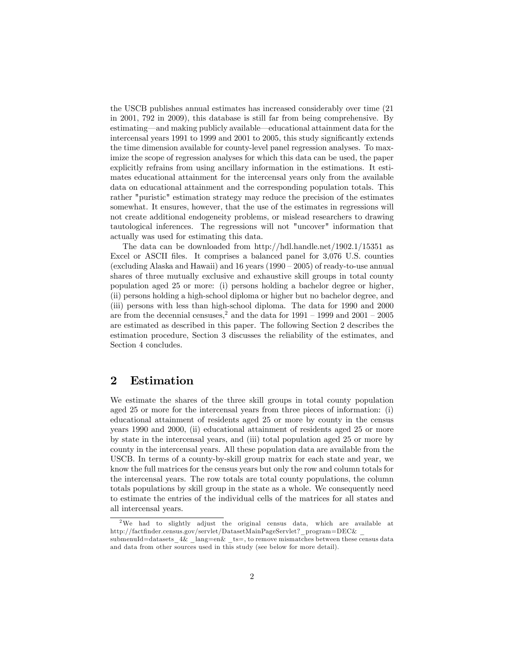the USCB publishes annual estimates has increased considerably over time (21 in 2001, 792 in 2009), this database is still far from being comprehensive. By estimating—and making publicly available—educational attainment data for the intercensal years 1991 to 1999 and 2001 to 2005, this study significantly extends the time dimension available for county-level panel regression analyses. To maximize the scope of regression analyses for which this data can be used, the paper explicitly refrains from using ancillary information in the estimations. It estimates educational attainment for the intercensal years only from the available data on educational attainment and the corresponding population totals. This rather "puristic" estimation strategy may reduce the precision of the estimates somewhat. It ensures, however, that the use of the estimates in regressions will not create additional endogeneity problems, or mislead researchers to drawing tautological inferences. The regressions will not "uncover" information that actually was used for estimating this data.

The data can be downloaded from http://hdl.handle.net/1902.1/15351 as Excel or ASCII files. It comprises a balanced panel for 3,076 U.S. counties (excluding Alaska and Hawaii) and 16 years  $(1990 - 2005)$  of ready-to-use annual shares of three mutually exclusive and exhaustive skill groups in total county population aged 25 or more: (i) persons holding a bachelor degree or higher, (ii) persons holding a high-school diploma or higher but no bachelor degree, and (iii) persons with less than high-school diploma. The data for 1990 and 2000 are from the decennial censuses,<sup>2</sup> and the data for  $1991 - 1999$  and  $2001 - 2005$ are estimated as described in this paper. The following Section 2 describes the estimation procedure, Section 3 discusses the reliability of the estimates, and Section 4 concludes.

#### 2 Estimation

We estimate the shares of the three skill groups in total county population aged 25 or more for the intercensal years from three pieces of information: (i) educational attainment of residents aged 25 or more by county in the census years 1990 and 2000, (ii) educational attainment of residents aged 25 or more by state in the intercensal years, and (iii) total population aged 25 or more by county in the intercensal years. All these population data are available from the USCB. In terms of a county-by-skill group matrix for each state and year, we know the full matrices for the census years but only the row and column totals for the intercensal years. The row totals are total county populations, the column totals populations by skill group in the state as a whole. We consequently need to estimate the entries of the individual cells of the matrices for all states and all intercensal years.

<sup>2</sup>We had to slightly adjust the original census data, which are available at http://factfinder.census.gov/servlet/DatasetMainPageServlet?\_program=DEC& submenuId=datasets\_4& \_lang=en& \_ts=, to remove mismatches between these census data and data from other sources used in this study (see below for more detail).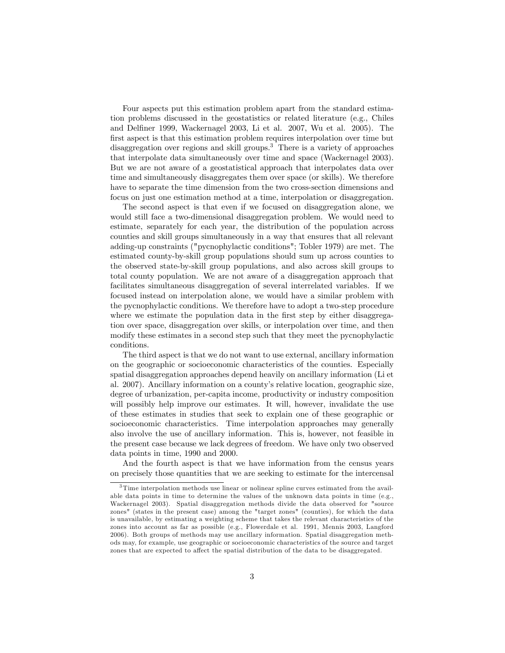Four aspects put this estimation problem apart from the standard estimation problems discussed in the geostatistics or related literature (e.g., Chiles and Delfiner 1999, Wackernagel 2003, Li et al. 2007, Wu et al. 2005). The first aspect is that this estimation problem requires interpolation over time but disaggregation over regions and skill groups.<sup>3</sup> There is a variety of approaches that interpolate data simultaneously over time and space (Wackernagel 2003). But we are not aware of a geostatistical approach that interpolates data over time and simultaneously disaggregates them over space (or skills). We therefore have to separate the time dimension from the two cross-section dimensions and focus on just one estimation method at a time, interpolation or disaggregation.

The second aspect is that even if we focused on disaggregation alone, we would still face a two-dimensional disaggregation problem. We would need to estimate, separately for each year, the distribution of the population across counties and skill groups simultaneously in a way that ensures that all relevant adding-up constraints ("pycnophylactic conditions"; Tobler 1979) are met. The estimated county-by-skill group populations should sum up across counties to the observed state-by-skill group populations, and also across skill groups to total county population. We are not aware of a disaggregation approach that facilitates simultaneous disaggregation of several interrelated variables. If we focused instead on interpolation alone, we would have a similar problem with the pycnophylactic conditions. We therefore have to adopt a two-step procedure where we estimate the population data in the first step by either disaggregation over space, disaggregation over skills, or interpolation over time, and then modify these estimates in a second step such that they meet the pycnophylactic conditions.

The third aspect is that we do not want to use external, ancillary information on the geographic or socioeconomic characteristics of the counties. Especially spatial disaggregation approaches depend heavily on ancillary information (Li et al. 2007). Ancillary information on a countyís relative location, geographic size, degree of urbanization, per-capita income, productivity or industry composition will possibly help improve our estimates. It will, however, invalidate the use of these estimates in studies that seek to explain one of these geographic or socioeconomic characteristics. Time interpolation approaches may generally also involve the use of ancillary information. This is, however, not feasible in the present case because we lack degrees of freedom. We have only two observed data points in time, 1990 and 2000.

And the fourth aspect is that we have information from the census years on precisely those quantities that we are seeking to estimate for the intercensal

<sup>&</sup>lt;sup>3</sup>Time interpolation methods use linear or nolinear spline curves estimated from the available data points in time to determine the values of the unknown data points in time (e.g., Wackernagel 2003). Spatial disaggregation methods divide the data observed for "source zones" (states in the present case) among the "target zones" (counties), for which the data is unavailable, by estimating a weighting scheme that takes the relevant characteristics of the zones into account as far as possible (e.g., Flowerdale et al. 1991, Mennis 2003, Langford 2006). Both groups of methods may use ancillary information. Spatial disaggregation methods may, for example, use geographic or socioeconomic characteristics of the source and target zones that are expected to affect the spatial distribution of the data to be disaggregated.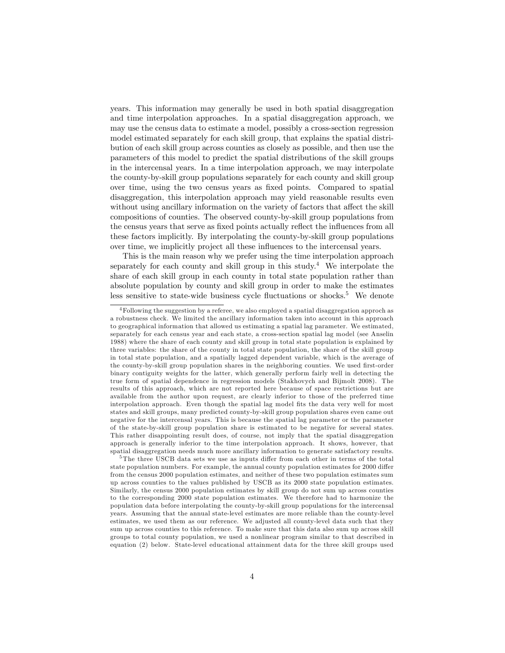years. This information may generally be used in both spatial disaggregation and time interpolation approaches. In a spatial disaggregation approach, we may use the census data to estimate a model, possibly a cross-section regression model estimated separately for each skill group, that explains the spatial distribution of each skill group across counties as closely as possible, and then use the parameters of this model to predict the spatial distributions of the skill groups in the intercensal years. In a time interpolation approach, we may interpolate the county-by-skill group populations separately for each county and skill group over time, using the two census years as Öxed points. Compared to spatial disaggregation, this interpolation approach may yield reasonable results even without using ancillary information on the variety of factors that affect the skill compositions of counties. The observed county-by-skill group populations from the census years that serve as fixed points actually reflect the influences from all these factors implicitly. By interpolating the county-by-skill group populations over time, we implicitly project all these influences to the intercensal years.

This is the main reason why we prefer using the time interpolation approach separately for each county and skill group in this study.<sup>4</sup> We interpolate the share of each skill group in each county in total state population rather than absolute population by county and skill group in order to make the estimates less sensitive to state-wide business cycle fluctuations or shocks.<sup>5</sup> We denote

<sup>4</sup>Following the suggestion by a referee, we also employed a spatial disaggregation approch as a robustness check. We limited the ancillary information taken into account in this approach to geographical information that allowed us estimating a spatial lag parameter. We estimated, separately for each census year and each state, a cross-section spatial lag model (see Anselin 1988) where the share of each county and skill group in total state population is explained by three variables: the share of the county in total state population, the share of the skill group in total state population, and a spatially lagged dependent variable, which is the average of the county-by-skill group population shares in the neighboring counties. We used first-order binary contiguity weights for the latter, which generally perform fairly well in detecting the true form of spatial dependence in regression models (Stakhovych and Bijmolt 2008). The results of this approach, which are not reported here because of space restrictions but are available from the author upon request, are clearly inferior to those of the preferred time interpolation approach. Even though the spatial lag model fits the data very well for most states and skill groups, many predicted county-by-skill group population shares even came out negative for the intercensal years. This is because the spatial lag parameter or the parameter of the state-by-skill group population share is estimated to be negative for several states. This rather disappointing result does, of course, not imply that the spatial disaggregation approach is generally inferior to the time interpolation approach. It shows, however, that spatial disaggregation needs much more ancillary information to generate satisfactory results.

 $5$ The three USCB data sets we use as inputs differ from each other in terms of the total state population numbers. For example, the annual county population estimates for 2000 differ from the census 2000 population estimates, and neither of these two population estimates sum up across counties to the values published by USCB as its 2000 state population estimates. Similarly, the census 2000 population estimates by skill group do not sum up across counties to the corresponding 2000 state population estimates. We therefore had to harmonize the population data before interpolating the county-by-skill group populations for the intercensal years. Assuming that the annual state-level estimates are more reliable than the county-level estimates, we used them as our reference. We adjusted all county-level data such that they sum up across counties to this reference. To make sure that this data also sum up across skill groups to total county population, we used a nonlinear program similar to that described in equation (2) below. State-level educational attainment data for the three skill groups used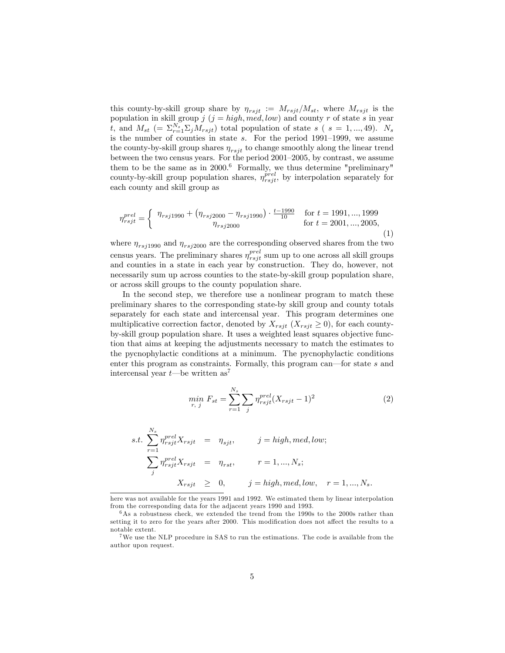this county-by-skill group share by  $\eta_{rsjt} := M_{rsjt}/M_{st}$ , where  $M_{rsjt}$  is the population in skill group  $j$  ( $j = high, m e d, low$ ) and county r of state s in year t, and  $M_{st}$  (=  $\Sigma_{r=1}^{N_s} \Sigma_j M_{rsjt}$ ) total population of state s (s = 1,..., 49).  $N_s$ is the number of counties in state  $s$ . For the period 1991–1999, we assume the county-by-skill group shares  $\eta_{rsjt}$  to change smoothly along the linear trend between the two census years. For the period  $2001-2005$ , by contrast, we assume them to be the same as in  $2000$ .<sup>6</sup> Formally, we thus determine "preliminary" county-by-skill group population shares,  $\eta_{rsjt}^{pred}$ , by interpolation separately for each county and skill group as

$$
\eta_{rsjt}^{prel} = \begin{cases} \eta_{rsj1990} + (\eta_{rsj2000} - \eta_{rsj1990}) \cdot \frac{t-1990}{10} & \text{for } t = 1991, ..., 1999\\ \eta_{rsj2000} & \text{for } t = 2001, ..., 2005, \end{cases}
$$
\n(1)

where  $\eta_{rsj1990}$  and  $\eta_{rsj2000}$  are the corresponding observed shares from the two census years. The preliminary shares  $\eta_{rsjt}^{prel}$  sum up to one across all skill groups and counties in a state in each year by construction. They do, however, not necessarily sum up across counties to the state-by-skill group population share, or across skill groups to the county population share.

In the second step, we therefore use a nonlinear program to match these preliminary shares to the corresponding state-by skill group and county totals separately for each state and intercensal year. This program determines one multiplicative correction factor, denoted by  $X_{rsjt}$   $(X_{rsjt} \geq 0)$ , for each countyby-skill group population share. It uses a weighted least squares objective function that aims at keeping the adjustments necessary to match the estimates to the pycnophylactic conditions at a minimum. The pycnophylactic conditions enter this program as constraints. Formally, this program can—for state  $s$  and intercensal year  $t$ —be written as<sup>7</sup>

$$
\min_{r,\ j} F_{st} = \sum_{r=1}^{N_s} \sum_{j} \eta_{rsjt}^{prel} (X_{rsjt} - 1)^2
$$
\n(2)

$$
s.t. \sum_{r=1}^{N_s} \eta_{rsjt}^{prel} X_{rsjt} = \eta_{sjt}, \qquad j = high, med, low;
$$
  

$$
\sum_{j} \eta_{rsjt}^{prel} X_{rsjt} = \eta_{rst}, \qquad r = 1, ..., N_s;
$$
  

$$
X_{rsjt} \geq 0, \qquad j = high, med, low, \quad r = 1, ..., N_s.
$$

here was not available for the years 1991 and 1992. We estimated them by linear interpolation from the corresponding data for the adjacent years 1990 and 1993.

 $6$ As a robustness check, we extended the trend from the 1990s to the 2000s rather than setting it to zero for the years after 2000. This modification does not affect the results to a notable extent.

<sup>&</sup>lt;sup>7</sup>We use the NLP procedure in SAS to run the estimations. The code is available from the author upon request.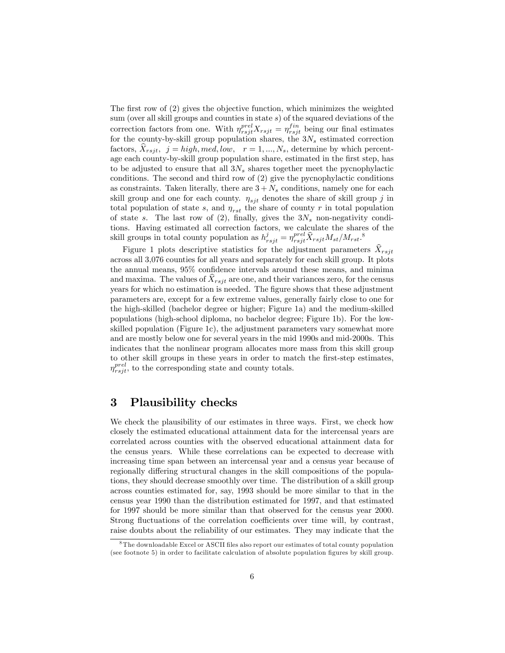The first row of  $(2)$  gives the objective function, which minimizes the weighted sum (over all skill groups and counties in state s) of the squared deviations of the correction factors from one. With  $\eta_{rsjt}^{prel}X_{rsjt} = \eta_{rsjt}^{fin}$  being our final estimates for the county-by-skill group population shares, the  $3N_s$  estimated correction factors,  $X_{rsjt}$ ,  $j = high, med, low$ ,  $r = 1, ..., N_s$ , determine by which percentage each county-by-skill group population share, estimated in the first step, has to be adjusted to ensure that all  $3N_s$  shares together meet the pycnophylactic conditions. The second and third row of (2) give the pycnophylactic conditions as constraints. Taken literally, there are  $3 + N_s$  conditions, namely one for each skill group and one for each county.  $\eta_{sjt}$  denotes the share of skill group j in total population of state s, and  $\eta_{rst}$  the share of county r in total population of state s. The last row of (2), finally, gives the  $3N_s$  non-negativity conditions. Having estimated all correction factors, we calculate the shares of the skill groups in total county population as  $h_{rsjt}^j = \eta_{rsjt}^{prel} \hat{X}_{rsjt} M_{st}/M_{rst}$ .<sup>8</sup>

Figure 1 plots descriptive statistics for the adjustment parameters  $\hat{X}_{rsit}$ across all 3,076 counties for all years and separately for each skill group. It plots the annual means,  $95\%$  confidence intervals around these means, and minima and maxima. The values of  $\hat{X}_{rsjt}$  are one, and their variances zero, for the census years for which no estimation is needed. The figure shows that these adjustment parameters are, except for a few extreme values, generally fairly close to one for the high-skilled (bachelor degree or higher; Figure 1a) and the medium-skilled populations (high-school diploma, no bachelor degree; Figure 1b). For the lowskilled population (Figure 1c), the adjustment parameters vary somewhat more and are mostly below one for several years in the mid 1990s and mid-2000s. This indicates that the nonlinear program allocates more mass from this skill group to other skill groups in these years in order to match the first-step estimates,  $\eta_{rsjt}^{prel}$ , to the corresponding state and county totals.

## 3 Plausibility checks

We check the plausibility of our estimates in three ways. First, we check how closely the estimated educational attainment data for the intercensal years are correlated across counties with the observed educational attainment data for the census years. While these correlations can be expected to decrease with increasing time span between an intercensal year and a census year because of regionally differing structural changes in the skill compositions of the populations, they should decrease smoothly over time. The distribution of a skill group across counties estimated for, say, 1993 should be more similar to that in the census year 1990 than the distribution estimated for 1997, and that estimated for 1997 should be more similar than that observed for the census year 2000. Strong fluctuations of the correlation coefficients over time will, by contrast, raise doubts about the reliability of our estimates. They may indicate that the

<sup>&</sup>lt;sup>8</sup>The downloadable Excel or ASCII files also report our estimates of total county population (see footnote 5) in order to facilitate calculation of absolute population Ögures by skill group.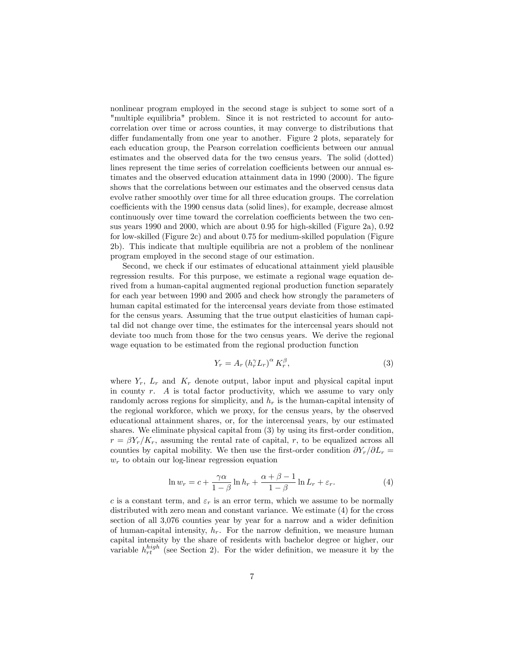nonlinear program employed in the second stage is subject to some sort of a "multiple equilibria" problem. Since it is not restricted to account for autocorrelation over time or across counties, it may converge to distributions that differ fundamentally from one year to another. Figure 2 plots, separately for each education group, the Pearson correlation coefficients between our annual estimates and the observed data for the two census years. The solid (dotted) lines represent the time series of correlation coefficients between our annual estimates and the observed education attainment data in  $1990$  (2000). The figure shows that the correlations between our estimates and the observed census data evolve rather smoothly over time for all three education groups. The correlation coefficients with the 1990 census data (solid lines), for example, decrease almost continuously over time toward the correlation coefficients between the two census years 1990 and 2000, which are about 0.95 for high-skilled (Figure 2a), 0.92 for low-skilled (Figure 2c) and about 0.75 for medium-skilled population (Figure 2b). This indicate that multiple equilibria are not a problem of the nonlinear program employed in the second stage of our estimation.

Second, we check if our estimates of educational attainment yield plausible regression results. For this purpose, we estimate a regional wage equation derived from a human-capital augmented regional production function separately for each year between 1990 and 2005 and check how strongly the parameters of human capital estimated for the intercensal years deviate from those estimated for the census years. Assuming that the true output elasticities of human capital did not change over time, the estimates for the intercensal years should not deviate too much from those for the two census years. We derive the regional wage equation to be estimated from the regional production function

$$
Y_r = A_r \left( h_r^{\gamma} L_r \right)^{\alpha} K_r^{\beta},\tag{3}
$$

where  $Y_r$ ,  $L_r$  and  $K_r$  denote output, labor input and physical capital input in county  $r$ . A is total factor productivity, which we assume to vary only randomly across regions for simplicity, and  $h_r$  is the human-capital intensity of the regional workforce, which we proxy, for the census years, by the observed educational attainment shares, or, for the intercensal years, by our estimated shares. We eliminate physical capital from  $(3)$  by using its first-order condition,  $r = \beta Y_r/K_r$ , assuming the rental rate of capital, r, to be equalized across all counties by capital mobility. We then use the first-order condition  $\partial Y_r/\partial L_r =$  $w_r$  to obtain our log-linear regression equation

$$
\ln w_r = c + \frac{\gamma \alpha}{1 - \beta} \ln h_r + \frac{\alpha + \beta - 1}{1 - \beta} \ln L_r + \varepsilon_r. \tag{4}
$$

c is a constant term, and  $\varepsilon_r$  is an error term, which we assume to be normally distributed with zero mean and constant variance. We estimate (4) for the cross section of all  $3,076$  counties year by year for a narrow and a wider definition of human-capital intensity,  $h_r$ . For the narrow definition, we measure human capital intensity by the share of residents with bachelor degree or higher, our variable  $h_{rt}^{high}$  (see Section 2). For the wider definition, we measure it by the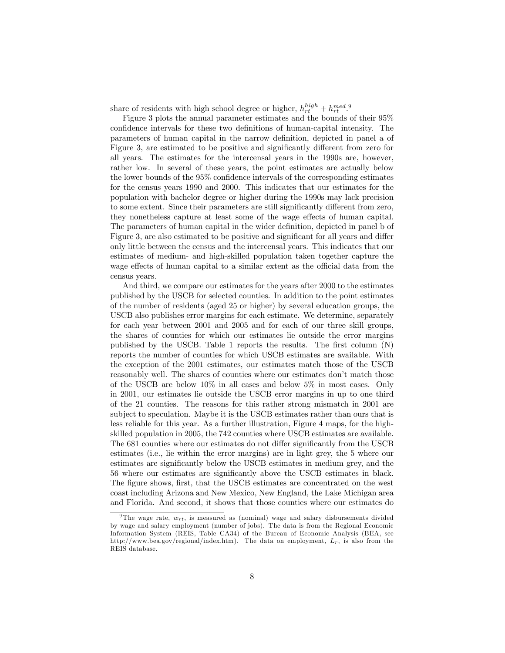share of residents with high school degree or higher,  $h_{rt}^{high} + h_{rt}^{med}$ .<sup>9</sup>

Figure 3 plots the annual parameter estimates and the bounds of their 95% confidence intervals for these two definitions of human-capital intensity. The parameters of human capital in the narrow definition, depicted in panel a of Figure 3, are estimated to be positive and significantly different from zero for all years. The estimates for the intercensal years in the 1990s are, however, rather low. In several of these years, the point estimates are actually below the lower bounds of the  $95\%$  confidence intervals of the corresponding estimates for the census years 1990 and 2000. This indicates that our estimates for the population with bachelor degree or higher during the 1990s may lack precision to some extent. Since their parameters are still significantly different from zero, they nonetheless capture at least some of the wage effects of human capital. The parameters of human capital in the wider definition, depicted in panel b of Figure 3, are also estimated to be positive and significant for all years and differ only little between the census and the intercensal years. This indicates that our estimates of medium- and high-skilled population taken together capture the wage effects of human capital to a similar extent as the official data from the census years.

And third, we compare our estimates for the years after 2000 to the estimates published by the USCB for selected counties. In addition to the point estimates of the number of residents (aged 25 or higher) by several education groups, the USCB also publishes error margins for each estimate. We determine, separately for each year between 2001 and 2005 and for each of our three skill groups, the shares of counties for which our estimates lie outside the error margins published by the USCB. Table 1 reports the results. The first column  $(N)$ reports the number of counties for which USCB estimates are available. With the exception of the 2001 estimates, our estimates match those of the USCB reasonably well. The shares of counties where our estimates don't match those of the USCB are below 10% in all cases and below 5% in most cases. Only in 2001, our estimates lie outside the USCB error margins in up to one third of the 21 counties. The reasons for this rather strong mismatch in 2001 are subject to speculation. Maybe it is the USCB estimates rather than ours that is less reliable for this year. As a further illustration, Figure 4 maps, for the highskilled population in 2005, the 742 counties where USCB estimates are available. The 681 counties where our estimates do not differ significantly from the USCB estimates (i.e., lie within the error margins) are in light grey, the 5 where our estimates are significantly below the USCB estimates in medium grey, and the 56 where our estimates are significantly above the USCB estimates in black. The figure shows, first, that the USCB estimates are concentrated on the west coast including Arizona and New Mexico, New England, the Lake Michigan area and Florida. And second, it shows that those counties where our estimates do

<sup>&</sup>lt;sup>9</sup>The wage rate,  $w_{rt}$ , is measured as (nominal) wage and salary disbursements divided by wage and salary employment (number of jobs). The data is from the Regional Economic Information System (REIS, Table CA34) of the Bureau of Economic Analysis (BEA, see http://www.bea.gov/regional/index.htm). The data on employment,  $L_r$ , is also from the REIS database.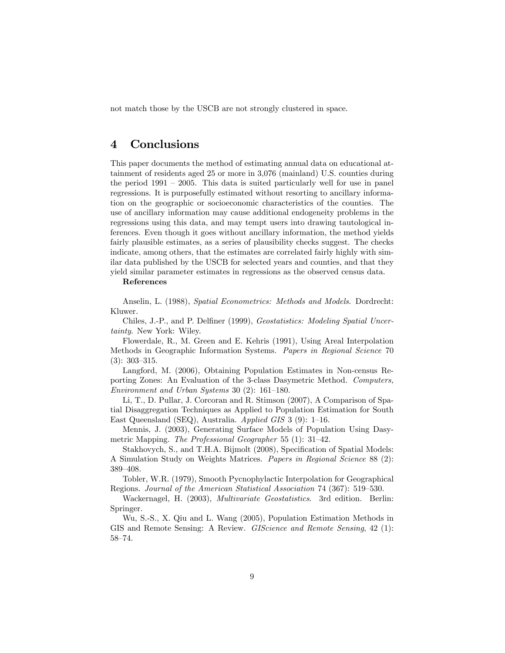not match those by the USCB are not strongly clustered in space.

### 4 Conclusions

This paper documents the method of estimating annual data on educational attainment of residents aged 25 or more in 3,076 (mainland) U.S. counties during the period  $1991 - 2005$ . This data is suited particularly well for use in panel regressions. It is purposefully estimated without resorting to ancillary information on the geographic or socioeconomic characteristics of the counties. The use of ancillary information may cause additional endogeneity problems in the regressions using this data, and may tempt users into drawing tautological inferences. Even though it goes without ancillary information, the method yields fairly plausible estimates, as a series of plausibility checks suggest. The checks indicate, among others, that the estimates are correlated fairly highly with similar data published by the USCB for selected years and counties, and that they yield similar parameter estimates in regressions as the observed census data.

References

Anselin, L. (1988), Spatial Econometrics: Methods and Models. Dordrecht: Kluwer.

Chiles, J.-P., and P. Delfiner (1999), Geostatistics: Modeling Spatial Uncertainty. New York: Wiley.

Flowerdale, R., M. Green and E. Kehris (1991), Using Areal Interpolation Methods in Geographic Information Systems. Papers in Regional Science 70  $(3): 303 - 315.$ 

Langford, M. (2006), Obtaining Population Estimates in Non-census Reporting Zones: An Evaluation of the 3-class Dasymetric Method. Computers, Environment and Urban Systems 30  $(2)$ : 161–180.

Li, T., D. Pullar, J. Corcoran and R. Stimson (2007), A Comparison of Spatial Disaggregation Techniques as Applied to Population Estimation for South East Queensland (SEQ), Australia. Applied GIS 3 (9):  $1-16$ .

Mennis, J. (2003), Generating Surface Models of Population Using Dasymetric Mapping. The Professional Geographer 55 (1):  $31-42$ .

Stakhovych, S., and T.H.A. Bijmolt (2008), Specification of Spatial Models: A Simulation Study on Weights Matrices. Papers in Regional Science 88 (2): 389-408.

Tobler, W.R. (1979), Smooth Pycnophylactic Interpolation for Geographical Regions. Journal of the American Statistical Association 74 (367): 519–530.

Wackernagel, H. (2003), Multivariate Geostatistics. 3rd edition. Berlin: Springer.

Wu, S.-S., X. Qiu and L. Wang (2005), Population Estimation Methods in GIS and Remote Sensing: A Review. *GIScience and Remote Sensing*, 42 (1): 58-74.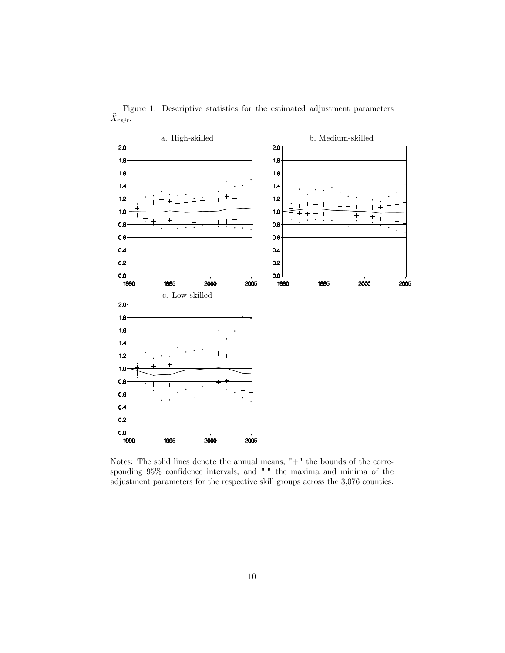

Figure 1: Descriptive statistics for the estimated adjustment parameters  $\widehat{X}_{rsjt}$ .

Notes: The solid lines denote the annual means, "+" the bounds of the corresponding  $95\%$  confidence intervals, and "." the maxima and minima of the adjustment parameters for the respective skill groups across the 3,076 counties.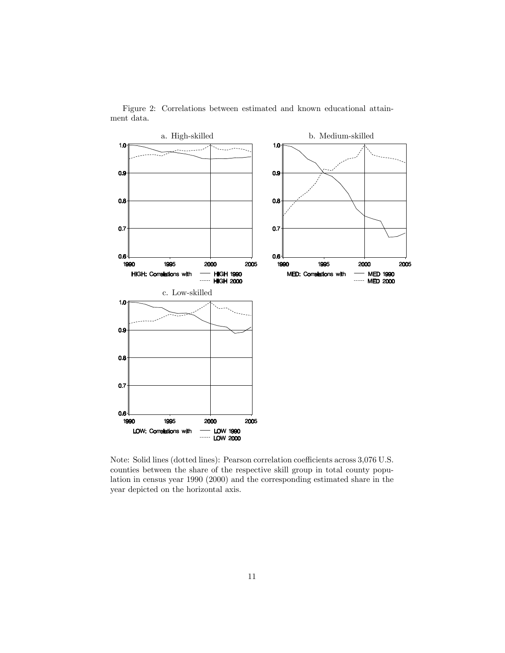

Figure 2: Correlations between estimated and known educational attainment data.

Note: Solid lines (dotted lines): Pearson correlation coefficients across 3,076 U.S. counties between the share of the respective skill group in total county population in census year 1990 (2000) and the corresponding estimated share in the year depicted on the horizontal axis.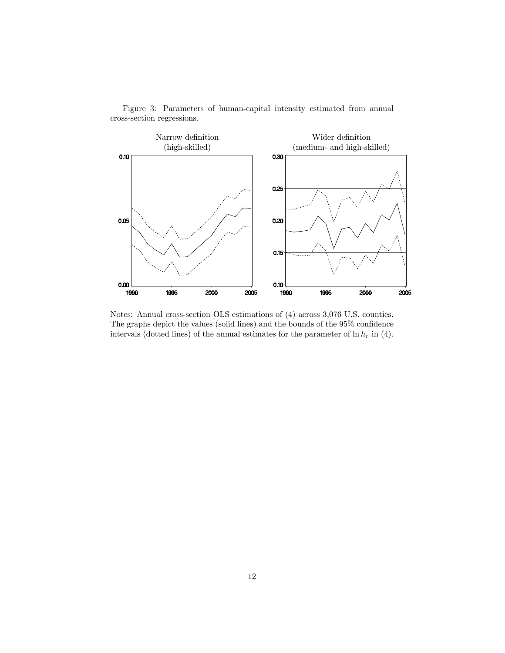

Figure 3: Parameters of human-capital intensity estimated from annual cross-section regressions.

Notes: Annual cross-section OLS estimations of (4) across 3,076 U.S. counties. The graphs depict the values (solid lines) and the bounds of the  $95\%$  confidence intervals (dotted lines) of the annual estimates for the parameter of  $\ln h_r$  in (4).